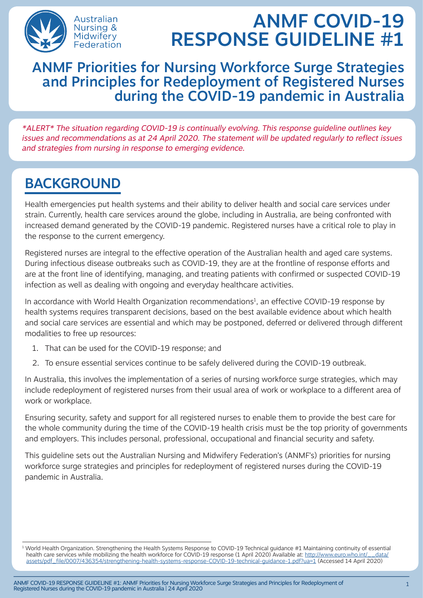

# ANMF COVID-19 RESPONSE GUIDELINE #1

#### ANMF Priorities for Nursing Workforce Surge Strategies and Principles for Redeployment of Registered Nurses during the COVID-19 pandemic in Australia

\*ALERT\* The situation regarding COVID-19 is continually evolving. This response guideline outlines key issues and recommendations as at 24 April 2020. The statement will be updated regularly to reflect issues and strategies from nursing in response to emerging evidence.

## BACKGROUND

Health emergencies put health systems and their ability to deliver health and social care services under strain. Currently, health care services around the globe, including in Australia, are being confronted with increased demand generated by the COVID-19 pandemic. Registered nurses have a critical role to play in the response to the current emergency.

Registered nurses are integral to the effective operation of the Australian health and aged care systems. During infectious disease outbreaks such as COVID-19, they are at the frontline of response efforts and are at the front line of identifying, managing, and treating patients with confirmed or suspected COVID-19 infection as well as dealing with ongoing and everyday healthcare activities.

In accordance with World Health Organization recommendations<sup>1</sup>, an effective COVID-19 response by health systems requires transparent decisions, based on the best available evidence about which health and social care services are essential and which may be postponed, deferred or delivered through different modalities to free up resources:

- 1. That can be used for the COVID-19 response; and
- 2. To ensure essential services continue to be safely delivered during the COVID-19 outbreak.

In Australia, this involves the implementation of a series of nursing workforce surge strategies, which may include redeployment of registered nurses from their usual area of work or workplace to a different area of work or workplace.

Ensuring security, safety and support for all registered nurses to enable them to provide the best care for the whole community during the time of the COVID-19 health crisis must be the top priority of governments and employers. This includes personal, professional, occupational and financial security and safety.

This guideline sets out the Australian Nursing and Midwifery Federation's (ANMF's) priorities for nursing workforce surge strategies and principles for redeployment of registered nurses during the COVID-19 pandemic in Australia.

<sup>1</sup> World Health Organization. Strengthening the Health Systems Response to COVID-19 Technical guidance #1 Maintaining continuity of essential health care services while mobilizing the health workforce for COVID-19 response (1 April 2020) Available at: http://www.euro.who.int/ data/ [assets/pdf\\_file/0007/436354/strengthening-health-systems-response-COVID-19-technical-guidance-1.pdf?ua=1](http://www.euro.who.int/__data/assets/pdf_file/0007/436354/strengthening-health-systems-response-COVID-19-technical-guidance-1.pdf?ua=1) (Accessed 14 April 2020)